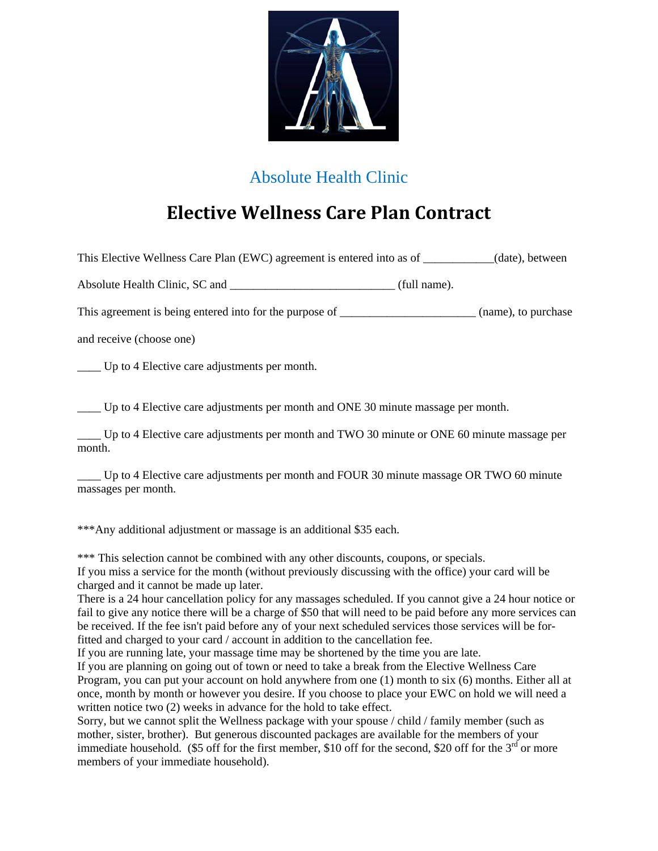

## Absolute Health Clinic

## **Elective Wellness Care Plan Contract**

This Elective Wellness Care Plan (EWC) agreement is entered into as of \_\_\_\_\_\_\_\_\_\_\_\_(date), between

Absolute Health Clinic, SC and  $(full name)$ .

This agreement is being entered into for the purpose of \_\_\_\_\_\_\_\_\_\_\_\_\_\_\_\_\_\_\_\_\_\_\_\_\_ (name), to purchase

and receive (choose one)

\_\_\_\_ Up to 4 Elective care adjustments per month.

\_\_\_\_ Up to 4 Elective care adjustments per month and ONE 30 minute massage per month.

\_\_\_\_ Up to 4 Elective care adjustments per month and TWO 30 minute or ONE 60 minute massage per month.

\_\_\_\_ Up to 4 Elective care adjustments per month and FOUR 30 minute massage OR TWO 60 minute massages per month.

\*\*\*Any additional adjustment or massage is an additional \$35 each.

\*\*\* This selection cannot be combined with any other discounts, coupons, or specials.

If you miss a service for the month (without previously discussing with the office) your card will be charged and it cannot be made up later.

There is a 24 hour cancellation policy for any massages scheduled. If you cannot give a 24 hour notice or fail to give any notice there will be a charge of \$50 that will need to be paid before any more services can be received. If the fee isn't paid before any of your next scheduled services those services will be forfitted and charged to your card / account in addition to the cancellation fee.

If you are running late, your massage time may be shortened by the time you are late.

If you are planning on going out of town or need to take a break from the Elective Wellness Care Program, you can put your account on hold anywhere from one (1) month to six (6) months. Either all at once, month by month or however you desire. If you choose to place your EWC on hold we will need a written notice two (2) weeks in advance for the hold to take effect.

Sorry, but we cannot split the Wellness package with your spouse / child / family member (such as mother, sister, brother). But generous discounted packages are available for the members of your immediate household. (\$5 off for the first member, \$10 off for the second, \$20 off for the  $3<sup>rd</sup>$  or more members of your immediate household).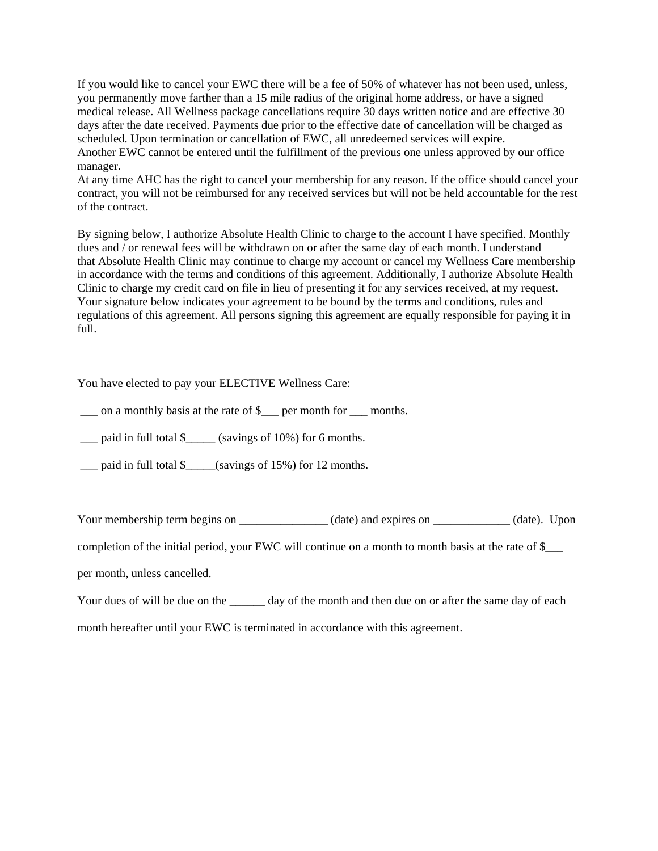If you would like to cancel your EWC there will be a fee of 50% of whatever has not been used, unless, you permanently move farther than a 15 mile radius of the original home address, or have a signed medical release. All Wellness package cancellations require 30 days written notice and are effective 30 days after the date received. Payments due prior to the effective date of cancellation will be charged as scheduled. Upon termination or cancellation of EWC, all unredeemed services will expire. Another EWC cannot be entered until the fulfillment of the previous one unless approved by our office manager.

At any time AHC has the right to cancel your membership for any reason. If the office should cancel your contract, you will not be reimbursed for any received services but will not be held accountable for the rest of the contract.

By signing below, I authorize Absolute Health Clinic to charge to the account I have specified. Monthly dues and / or renewal fees will be withdrawn on or after the same day of each month. I understand that Absolute Health Clinic may continue to charge my account or cancel my Wellness Care membership in accordance with the terms and conditions of this agreement. Additionally, I authorize Absolute Health Clinic to charge my credit card on file in lieu of presenting it for any services received, at my request. Your signature below indicates your agreement to be bound by the terms and conditions, rules and regulations of this agreement. All persons signing this agreement are equally responsible for paying it in full.

You have elected to pay your ELECTIVE Wellness Care:

 $\Box$  on a monthly basis at the rate of  $\$\_\text{per}$  months.

\_\_\_ paid in full total \$\_\_\_\_\_ (savings of 10%) for 6 months.

\_\_\_ paid in full total \$\_\_\_\_\_(savings of 15%) for 12 months.

Your membership term begins on \_\_\_\_\_\_\_\_\_\_\_\_\_\_\_ (date) and expires on \_\_\_\_\_\_\_\_\_\_\_\_ (date). Upon

completion of the initial period, your EWC will continue on a month to month basis at the rate of \$\_\_\_

per month, unless cancelled.

Your dues of will be due on the day of the month and then due on or after the same day of each

month hereafter until your EWC is terminated in accordance with this agreement.